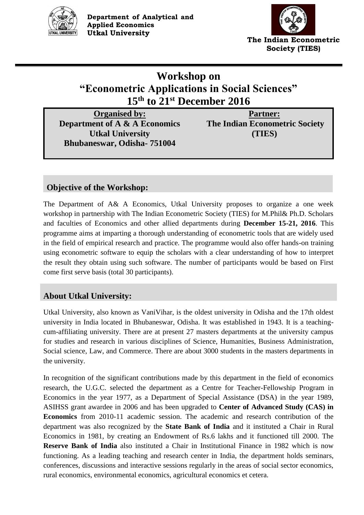



# **Workshop on "Econometric Applications in Social Sciences" 15th to 21st December 2016**

**Organised by: Department of A & A Economics Utkal University Bhubaneswar, Odisha- 751004**

**Partner: The Indian Econometric Society (TIES)**

# **Objective of the Workshop:**

The Department of A& A Economics, Utkal University proposes to organize a one week workshop in partnership with The Indian Econometric Society (TIES) for M.Phil& Ph.D. Scholars and faculties of Economics and other allied departments during **December 15-21, 2016**. This programme aims at imparting a thorough understanding of econometric tools that are widely used in the field of empirical research and practice. The programme would also offer hands-on training using econometric software to equip the scholars with a clear understanding of how to interpret the result they obtain using such software. The number of participants would be based on First come first serve basis (total 30 participants).

# **About Utkal University:**

Utkal University, also known as VaniVihar, is the oldest university in Odisha and the 17th oldest university in India located in Bhubaneswar, Odisha. It was established in 1943. It is a teachingcum-affiliating university. There are at present 27 masters departments at the university campus for studies and research in various disciplines of Science, Humanities, Business Administration, Social science, Law, and Commerce. There are about 3000 students in the masters departments in the university.

In recognition of the significant contributions made by this department in the field of economics research, the U.G.C. selected the department as a Centre for Teacher-Fellowship Program in Economics in the year 1977, as a Department of Special Assistance (DSA) in the year 1989, ASIHSS grant awardee in 2006 and has been upgraded to **Center of Advanced Study (CAS) in Economics** from 2010-11 academic session. The academic and research contribution of the department was also recognized by the **State Bank of India** and it instituted a Chair in Rural Economics in 1981, by creating an Endowment of Rs.6 lakhs and it functioned till 2000. The **Reserve Bank of India** also instituted a Chair in Institutional Finance in 1982 which is now functioning. As a leading teaching and research center in India, the department holds seminars, conferences, discussions and interactive sessions regularly in the areas of social sector economics, rural economics, environmental economics, agricultural economics et cetera.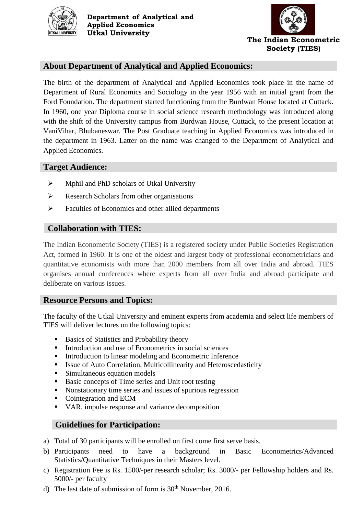



# **About Department of Analytical and Applied Economics:**

The birth of the department of Analytical and Applied Economics took place in the name of Department of Rural Economics and Sociology in the year 1956 with an initial grant from the Ford Foundation. The department started functioning from the Burdwan House located at Cuttack. In 1960, one year Diploma course in social science research methodology was introduced along with the shift of the University campus from Burdwan House, Cuttack, to the present location at VaniVihar, Bhubaneswar. The Post Graduate teaching in Applied Economics was introduced in the department in 1963. Latter on the name was changed to the Department of Analytical and Applied Economics.

### **Target Audience:**

- $\triangleright$  Mphil and PhD scholars of Utkal University
- $\triangleright$  Research Scholars from other organisations
- $\triangleright$  Faculties of Economics and other allied departments

## **Collaboration with TIES:**

The Indian Econometric Society (TIES) is a registered society under Public Societies Registration Act, formed in 1960. It is one of the oldest and largest body of professional econometricians and quantitative economists with more than 2000 members from all over India and abroad. TIES organises annual conferences where experts from all over India and abroad participate and deliberate on various issues.

#### **Resource Persons and Topics:**

The faculty of the Utkal University and eminent experts from academia and select life members of TIES will deliver lectures on the following topics:

- Basics of Statistics and Probability theory
- Introduction and use of Econometrics in social sciences
- **Introduction to linear modeling and Econometric Inference**
- Issue of Auto Correlation, Multicollinearity and Heteroscedasticity
- Simultaneous equation models
- Basic concepts of Time series and Unit root testing
- Nonstationary time series and issues of spurious regression
- Cointegration and ECM
- VAR, impulse response and variance decomposition

## **Guidelines for Participation:**

- a) Total of 30 participants will be enrolled on first come first serve basis.
- b) Participants need to have a background in Basic Econometrics/Advanced Statistics/Quantitative Techniques in their Masters level.
- c) Registration Fee is Rs. 1500/-per research scholar; Rs. 3000/- per Fellowship holders and Rs. 5000/- per faculty
- d) The last date of submission of form is  $30<sup>th</sup>$  November, 2016.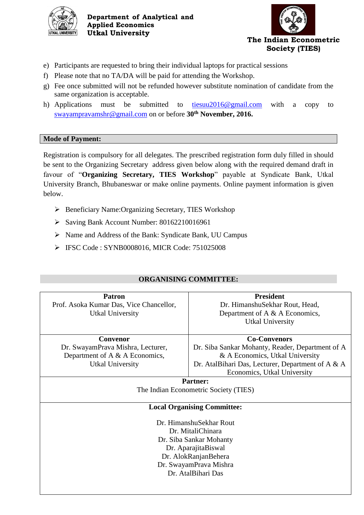

**Department of Analytical and Applied Economics Utkal University**



- e) Participants are requested to bring their individual laptops for practical sessions
- f) Please note that no TA/DA will be paid for attending the Workshop.
- g) Fee once submitted will not be refunded however substitute nomination of candidate from the same organization is acceptable.
- h) Applications must be submitted to [tiesuu2016@gmail.com](mailto:tiesuu2016@gmail.com) with a copy to [swayampravamshr@gmail.com](mailto:swayampravamshr@gmail.com) on or before **30 th November, 2016.**

#### **Mode of Payment:**

Registration is compulsory for all delegates. The prescribed registration form duly filled in should be sent to the Organizing Secretary address given below along with the required demand draft in favour of "**Organizing Secretary, TIES Workshop**" payable at Syndicate Bank, Utkal University Branch, Bhubaneswar or make online payments. Online payment information is given below.

- ▶ Beneficiary Name:Organizing Secretary, TIES Workshop
- Saving Bank Account Number: 80162210016961
- Name and Address of the Bank: Syndicate Bank, UU Campus
- IFSC Code : SYNB0008016, MICR Code: 751025008

## **ORGANISING COMMITTEE:**

| <b>Patron</b>                           | <b>President</b>                                  |  |
|-----------------------------------------|---------------------------------------------------|--|
| Prof. Asoka Kumar Das, Vice Chancellor, | Dr. HimanshuSekhar Rout, Head,                    |  |
| Utkal University                        | Department of A & A Economics,                    |  |
|                                         | <b>Utkal University</b>                           |  |
|                                         |                                                   |  |
| Convenor                                | <b>Co-Convenors</b>                               |  |
| Dr. SwayamPrava Mishra, Lecturer,       | Dr. Siba Sankar Mohanty, Reader, Department of A  |  |
| Department of A & A Economics,          | & A Economics, Utkal University                   |  |
| <b>Utkal University</b>                 | Dr. AtalBihari Das, Lecturer, Department of A & A |  |
|                                         | Economics, Utkal University                       |  |
| <b>Partner:</b>                         |                                                   |  |
| The Indian Econometric Society (TIES)   |                                                   |  |
|                                         |                                                   |  |
| <b>Local Organising Committee:</b>      |                                                   |  |
|                                         |                                                   |  |
| Dr. HimanshuSekhar Rout                 |                                                   |  |
| Dr. MitaliChinara                       |                                                   |  |
| Dr. Siba Sankar Mohanty                 |                                                   |  |
| Dr. AparajitaBiswal                     |                                                   |  |
| Dr. AlokRanjanBehera                    |                                                   |  |
| Dr. SwayamPrava Mishra                  |                                                   |  |
| Dr. AtalBihari Das                      |                                                   |  |
|                                         |                                                   |  |
|                                         |                                                   |  |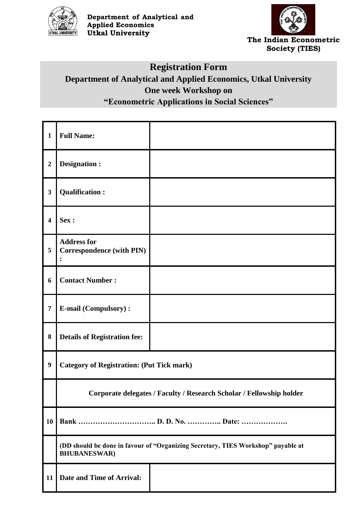



# **Registration Form Department of Analytical and Applied Economics, Utkal University One week Workshop on "Econometric Applications in Social Sciences"**

| $\mathbf{1}$            | <b>Full Name:</b>                                                                                        |  |
|-------------------------|----------------------------------------------------------------------------------------------------------|--|
| $\boldsymbol{2}$        | <b>Designation:</b>                                                                                      |  |
| $\mathbf{3}$            | <b>Qualification:</b>                                                                                    |  |
| $\overline{\mathbf{4}}$ | Sex :                                                                                                    |  |
| 5                       | <b>Address for</b><br><b>Correspondence (with PIN)</b>                                                   |  |
| 6                       | <b>Contact Number:</b>                                                                                   |  |
| $\overline{7}$          | <b>E-mail (Compulsory):</b>                                                                              |  |
| $\bf{8}$                | <b>Details of Registration fee:</b>                                                                      |  |
| $\boldsymbol{9}$        | <b>Category of Registration: (Put Tick mark)</b>                                                         |  |
|                         | Corporate delegates / Faculty / Research Scholar / Fellowship holder                                     |  |
| <b>10</b>               |                                                                                                          |  |
|                         | (DD should be done in favour of "Organizing Secretary, TIES Workshop" payable at<br><b>BHUBANESWAR</b> ) |  |
| 11                      | Date and Time of Arrival:                                                                                |  |